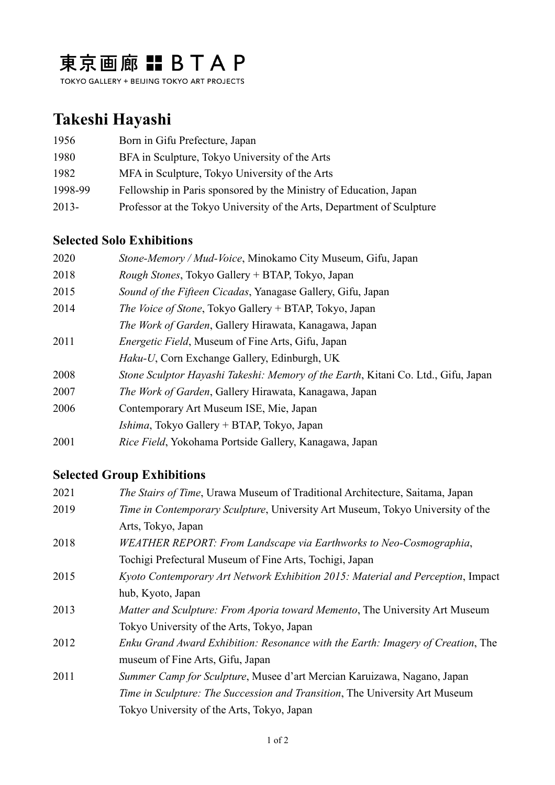## 東京画廊 : BTAP

TOKYO GALLERY + BEIJING TOKYO ART PROJECTS

## **Takeshi Hayashi**

| 1956    | Born in Gifu Prefecture, Japan                                         |
|---------|------------------------------------------------------------------------|
| 1980    | BFA in Sculpture, Tokyo University of the Arts                         |
| 1982    | MFA in Sculpture, Tokyo University of the Arts                         |
| 1998-99 | Fellowship in Paris sponsored by the Ministry of Education, Japan      |
| 2013-   | Professor at the Tokyo University of the Arts, Department of Sculpture |

## **Selected Solo Exhibitions**

| 2020 | Stone-Memory / Mud-Voice, Minokamo City Museum, Gifu, Japan                       |
|------|-----------------------------------------------------------------------------------|
| 2018 | Rough Stones, Tokyo Gallery + BTAP, Tokyo, Japan                                  |
| 2015 | Sound of the Fifteen Cicadas, Yanagase Gallery, Gifu, Japan                       |
| 2014 | The Voice of Stone, Tokyo Gallery + BTAP, Tokyo, Japan                            |
|      | <i>The Work of Garden, Gallery Hirawata, Kanagawa, Japan</i>                      |
| 2011 | <i>Energetic Field</i> , Museum of Fine Arts, Gifu, Japan                         |
|      | <i>Haku-U</i> , Corn Exchange Gallery, Edinburgh, UK                              |
| 2008 | Stone Sculptor Hayashi Takeshi: Memory of the Earth, Kitani Co. Ltd., Gifu, Japan |
| 2007 | <i>The Work of Garden, Gallery Hirawata, Kanagawa, Japan</i>                      |
| 2006 | Contemporary Art Museum ISE, Mie, Japan                                           |
|      | <i>Ishima</i> , Tokyo Gallery + BTAP, Tokyo, Japan                                |
| 2001 | Rice Field, Yokohama Portside Gallery, Kanagawa, Japan                            |

## **Selected Group Exhibitions**

| 2021 | <i>The Stairs of Time</i> , Urawa Museum of Traditional Architecture, Saitama, Japan  |
|------|---------------------------------------------------------------------------------------|
| 2019 | <i>Time in Contemporary Sculpture, University Art Museum, Tokyo University of the</i> |
|      | Arts, Tokyo, Japan                                                                    |
| 2018 | WEATHER REPORT: From Landscape via Earthworks to Neo-Cosmographia,                    |
|      | Tochigi Prefectural Museum of Fine Arts, Tochigi, Japan                               |
| 2015 | Kyoto Contemporary Art Network Exhibition 2015: Material and Perception, Impact       |
|      | hub, Kyoto, Japan                                                                     |
| 2013 | <i>Matter and Sculpture: From Aporia toward Memento, The University Art Museum</i>    |
|      | Tokyo University of the Arts, Tokyo, Japan                                            |
| 2012 | Enku Grand Award Exhibition: Resonance with the Earth: Imagery of Creation, The       |
|      | museum of Fine Arts, Gifu, Japan                                                      |
| 2011 | Summer Camp for Sculpture, Musee d'art Mercian Karuizawa, Nagano, Japan               |
|      | Time in Sculpture: The Succession and Transition, The University Art Museum           |
|      | Tokyo University of the Arts, Tokyo, Japan                                            |
|      |                                                                                       |